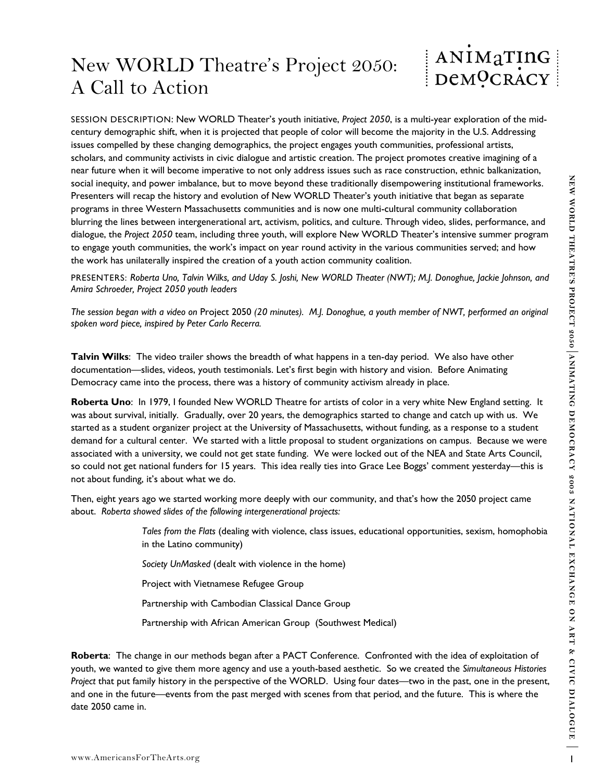## New WORLD Theatre's Project 2050: A Call to Action



social meaning and power interesting the business more interesting on the studies of the studies of the studies of the studies of the studies of the studies of the studies of the studies of the studies of the studies are a SESSION DESCRIPTION: New WORLD Theater's youth initiative, *Project 2050*, is a multi-year exploration of the midcentury demographic shift, when it is projected that people of color will become the majority in the U.S. Addressing issues compelled by these changing demographics, the project engages youth communities, professional artists, scholars, and community activists in civic dialogue and artistic creation. The project promotes creative imagining of a near future when it will become imperative to not only address issues such as race construction, ethnic balkanization, social inequity, and power imbalance, but to move beyond these traditionally disempowering institutional frameworks. Presenters will recap the history and evolution of New WORLD Theater's youth initiative that began as separate programs in three Western Massachusetts communities and is now one multi-cultural community collaboration blurring the lines between intergenerational art, activism, politics, and culture. Through video, slides, performance, and dialogue, the *Project 2050* team, including three youth, will explore New WORLD Theater's intensive summer program to engage youth communities, the work's impact on year round activity in the various communities served; and how the work has unilaterally inspired the creation of a youth action community coalition.

PRESENTERS: *Roberta Uno, Talvin Wilks, and Uday S. Joshi, New WORLD Theater (NWT); M.J. Donoghue, Jackie Johnson, and Amira Schroeder, Project 2050 youth leaders* 

*The session began with a video on* Project 2050 *(20 minutes). M.J. Donoghue, a youth member of NWT, performed an original spoken word piece, inspired by Peter Carlo Recerra.*

**Talvin Wilks**: The video trailer shows the breadth of what happens in a ten-day period. We also have other documentation—slides, videos, youth testimonials. Let's first begin with history and vision. Before Animating Democracy came into the process, there was a history of community activism already in place.

**Roberta Uno**: In 1979, I founded New WORLD Theatre for artists of color in a very white New England setting. It was about survival, initially. Gradually, over 20 years, the demographics started to change and catch up with us. We started as a student organizer project at the University of Massachusetts, without funding, as a response to a student demand for a cultural center. We started with a little proposal to student organizations on campus. Because we were associated with a university, we could not get state funding. We were locked out of the NEA and State Arts Council, so could not get national funders for 15 years. This idea really ties into Grace Lee Boggs' comment yesterday—this is not about funding, it's about what we do.

Then, eight years ago we started working more deeply with our community, and that's how the 2050 project came about. *Roberta showed slides of the following intergenerational projects:* 

> *Tales from the Flats* (dealing with violence, class issues, educational opportunities, sexism, homophobia in the Latino community)

*Society UnMasked* (dealt with violence in the home)

Project with Vietnamese Refugee Group

Partnership with Cambodian Classical Dance Group

Partnership with African American Group (Southwest Medical)

**Roberta**: The change in our methods began after a PACT Conference. Confronted with the idea of exploitation of youth, we wanted to give them more agency and use a youth-based aesthetic. So we created the *Simultaneous Histories Project* that put family history in the perspective of the WORLD. Using four dates—two in the past, one in the present, and one in the future—events from the past merged with scenes from that period, and the future. This is where the date 2050 came in.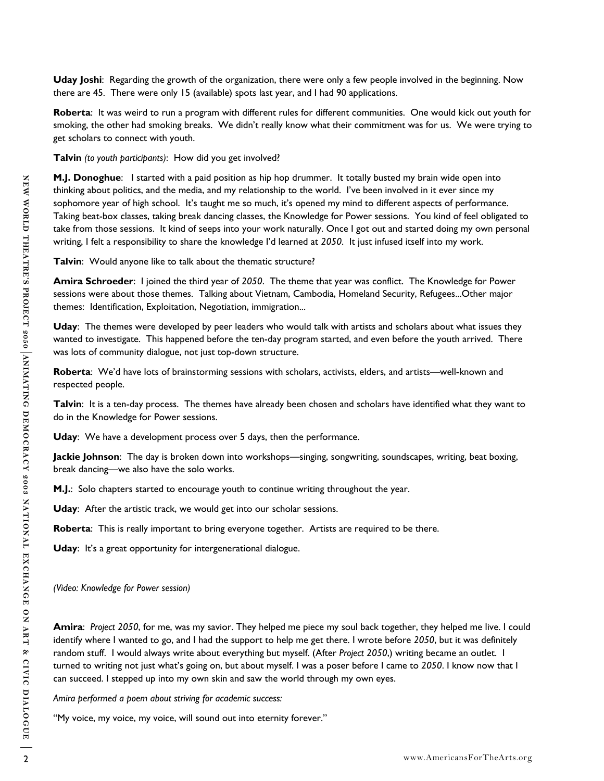**Uday Joshi**: Regarding the growth of the organization, there were only a few people involved in the beginning. Now there are 45. There were only 15 (available) spots last year, and I had 90 applications.

**Roberta**: It was weird to run a program with different rules for different communities. One would kick out youth for smoking, the other had smoking breaks. We didn't really know what their commitment was for us. We were trying to get scholars to connect with youth.

**Talvin** *(to youth participants)*: How did you get involved?

24 When the two matrix rest, we would get mos any help to the rest matrix in the rest and my distribution of the rest and the rest and the rest and the rest and the rest and the rest and the rest and the rest and the rest **M.J. Donoghue**: I started with a paid position as hip hop drummer. It totally busted my brain wide open into thinking about politics, and the media, and my relationship to the world. I've been involved in it ever since my sophomore year of high school. It's taught me so much, it's opened my mind to different aspects of performance. Taking beat-box classes, taking break dancing classes, the Knowledge for Power sessions. You kind of feel obligated to take from those sessions. It kind of seeps into your work naturally. Once I got out and started doing my own personal writing, I felt a responsibility to share the knowledge I'd learned at *2050*. It just infused itself into my work.

**Talvin**: Would anyone like to talk about the thematic structure?

**Amira Schroeder**: I joined the third year of *2050*. The theme that year was conflict. The Knowledge for Power sessions were about those themes. Talking about Vietnam, Cambodia, Homeland Security, Refugees...Other major themes: Identification, Exploitation, Negotiation, immigration...

**Uday**: The themes were developed by peer leaders who would talk with artists and scholars about what issues they wanted to investigate. This happened before the ten-day program started, and even before the youth arrived. There was lots of community dialogue, not just top-down structure.

**Roberta**: We'd have lots of brainstorming sessions with scholars, activists, elders, and artists—well-known and respected people.

**Talvin**: It is a ten-day process. The themes have already been chosen and scholars have identified what they want to do in the Knowledge for Power sessions.

**Uday**: We have a development process over 5 days, then the performance.

**Jackie Johnson**: The day is broken down into workshops—singing, songwriting, soundscapes, writing, beat boxing, break dancing—we also have the solo works.

**M.J.**: Solo chapters started to encourage youth to continue writing throughout the year.

**Uday**: After the artistic track, we would get into our scholar sessions.

**Roberta**: This is really important to bring everyone together. Artists are required to be there.

**Uday**: It's a great opportunity for intergenerational dialogue.

*(Video: Knowledge for Power session)* 

**Amira**: *Project 2050*, for me, was my savior. They helped me piece my soul back together, they helped me live. I could identify where I wanted to go, and I had the support to help me get there. I wrote before *2050*, but it was definitely random stuff. I would always write about everything but myself. (After *Project 2050*,) writing became an outlet. I turned to writing not just what's going on, but about myself. I was a poser before I came to *2050*. I know now that I can succeed. I stepped up into my own skin and saw the world through my own eyes.

*Amira performed a poem about striving for academic success:* 

"My voice, my voice, my voice, will sound out into eternity forever."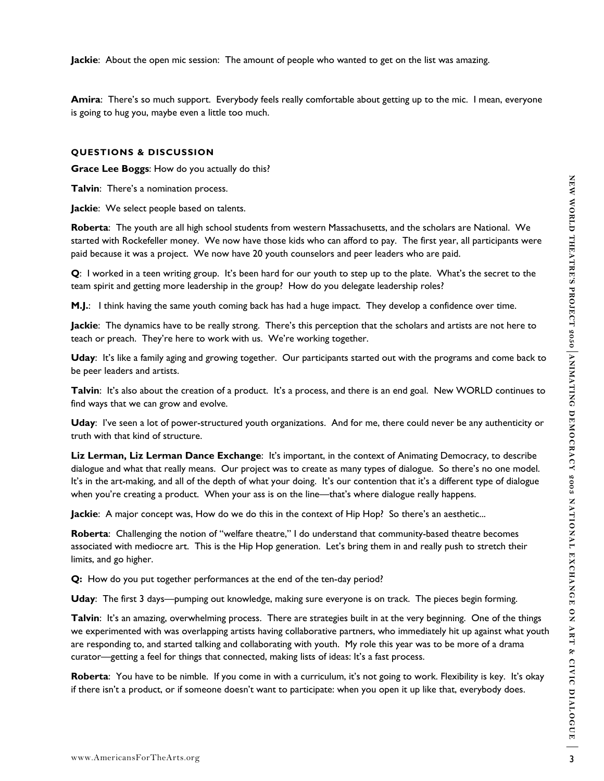**Jackie**: About the open mic session: The amount of people who wanted to get on the list was amazing.

**Amira**: There's so much support. Everybody feels really comfortable about getting up to the mic. I mean, everyone is going to hug you, maybe even a little too much.

## **QUESTIONS & DISCUSSION**

**Grace Lee Boggs**: How do you actually do this?

**Talvin**: There's a nomination process.

**Jackie**: We select people based on talents.

**Roberta**: The youth are all high school students from western Massachusetts, and the scholars are National. We started with Rockefeller money. We now have those kids who can afford to pay. The first year, all participants were paid because it was a project. We now have 20 youth counselors and peer leaders who are paid.

**Q**: I worked in a teen writing group. It's been hard for our youth to step up to the plate. What's the secret to the team spirit and getting more leadership in the group? How do you delegate leadership roles?

**M.J.**: I think having the same youth coming back has had a huge impact. They develop a confidence over time.

**Jackie**: The dynamics have to be really strong. There's this perception that the scholars and artists are not here to teach or preach. They're here to work with us. We're working together.

**Uday**: It's like a family aging and growing together. Our participants started out with the programs and come back to be peer leaders and artists.

**Talvin**: It's also about the creation of a product. It's a process, and there is an end goal. New WORLD continues to find ways that we can grow and evolve.

**Uday**: I've seen a lot of power-structured youth organizations. And for me, there could never be any authenticity or truth with that kind of structure.

**Liz Lerman, Liz Lerman Dance Exchange**: It's important, in the context of Animating Democracy, to describe dialogue and what that really means. Our project was to create as many types of dialogue. So there's no one model. It's in the art-making, and all of the depth of what your doing. It's our contention that it's a different type of dialogue when you're creating a product. When your ass is on the line—that's where dialogue really happens.

**Jackie**: A major concept was, How do we do this in the context of Hip Hop? So there's an aesthetic...

**Roberta**: Challenging the notion of "welfare theatre," I do understand that community-based theatre becomes associated with mediocre art. This is the Hip Hop generation. Let's bring them in and really push to stretch their limits, and go higher.

**Q:** How do you put together performances at the end of the ten-day period?

**Uday**: The first 3 days—pumping out knowledge, making sure everyone is on track. The pieces begin forming.

Tabrian: There's a nomination protess.<br>
Hother: We select propio bused on the lines of the most change in the station of the station are a NEW CHATREF and the station of the station of the particular were allowed to with t **Talvin**: It's an amazing, overwhelming process. There are strategies built in at the very beginning. One of the things we experimented with was overlapping artists having collaborative partners, who immediately hit up against what youth are responding to, and started talking and collaborating with youth. My role this year was to be more of a drama curator—getting a feel for things that connected, making lists of ideas: It's a fast process.

**Roberta**: You have to be nimble. If you come in with a curriculum, it's not going to work. Flexibility is key. It's okay if there isn't a product, or if someone doesn't want to participate: when you open it up like that, everybody does.